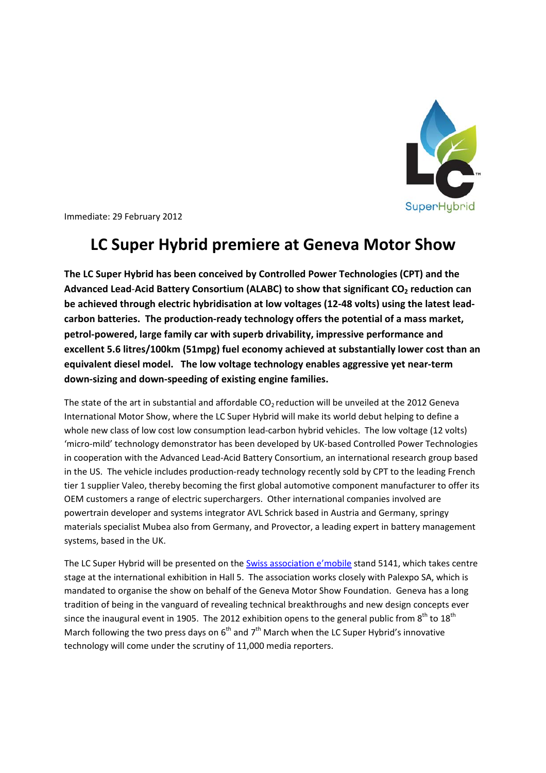

Immediate: 29 February 2012

## **LC Super Hybrid premiere at Geneva Motor Show**

**The LC Super Hybrid has been conceived by Controlled Power Technologies (CPT) and the Advanced Lead**‐**Acid Battery Consortium (ALABC) to show that significant CO2 reduction can be achieved through electric hybridisation at low voltages (12‐48 volts) using the latest lead‐ carbon batteries. The production‐ready technology offers the potential of a mass market, petrol‐powered, large family car with superb drivability, impressive performance and excellent 5.6 litres/100km (51mpg) fuel economy achieved at substantially lower cost than an equivalent diesel model. The low voltage technology enables aggressive yet near‐term down‐sizing and down‐speeding of existing engine families.**

The state of the art in substantial and affordable  $CO<sub>2</sub>$  reduction will be unveiled at the 2012 Geneva International Motor Show, where the LC Super Hybrid will make its world debut helping to define a whole new class of low cost low consumption lead-carbon hybrid vehicles. The low voltage (12 volts) 'micro‐mild' technology demonstrator has been developed by UK‐based Controlled Power Technologies in cooperation with the Advanced Lead‐Acid Battery Consortium, an international research group based in the US. The vehicle includes production-ready technology recently sold by CPT to the leading French tier 1 supplier Valeo, thereby becoming the first global automotive component manufacturer to offer its OEM customers a range of electric superchargers. Other international companies involved are powertrain developer and systems integrator AVL Schrick based in Austria and Germany, springy materials specialist Mubea also from Germany, and Provector, a leading expert in battery management systems, based in the UK.

The LC Super Hybrid will be presented on the Swiss association e'mobile stand 5141, which takes centre stage at the international exhibition in Hall 5. The association works closely with Palexpo SA, which is mandated to organise the show on behalf of the Geneva Motor Show Foundation. Geneva has a long tradition of being in the vanguard of revealing technical breakthroughs and new design concepts ever since the inaugural event in 1905. The 2012 exhibition opens to the general public from  $8^{th}$  to  $18^{th}$ March following the two press days on  $6<sup>th</sup>$  and  $7<sup>th</sup>$  March when the LC Super Hybrid's innovative technology will come under the scrutiny of 11,000 media reporters.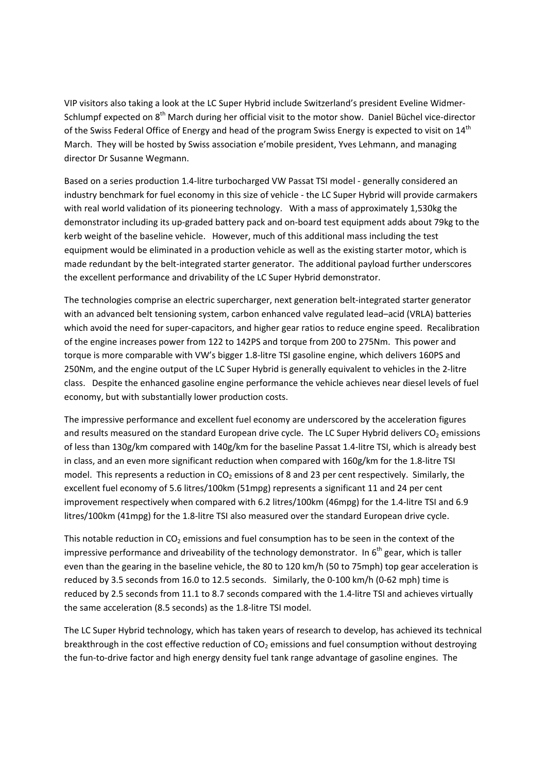VIP visitors also taking a look at the LC Super Hybrid include Switzerland's president Eveline Widmer‐ Schlumpf expected on 8<sup>th</sup> March during her official visit to the motor show. Daniel Büchel vice-director of the Swiss Federal Office of Energy and head of the program Swiss Energy is expected to visit on 14<sup>th</sup> March. They will be hosted by Swiss association e'mobile president, Yves Lehmann, and managing director Dr Susanne Wegmann.

Based on a series production 1.4‐litre turbocharged VW Passat TSI model ‐ generally considered an industry benchmark for fuel economy in this size of vehicle ‐ the LC Super Hybrid will provide carmakers with real world validation of its pioneering technology. With a mass of approximately 1,530kg the demonstrator including its up‐graded battery pack and on‐board test equipment adds about 79kg to the kerb weight of the baseline vehicle. However, much of this additional mass including the test equipment would be eliminated in a production vehicle as well as the existing starter motor, which is made redundant by the belt‐integrated starter generator. The additional payload further underscores the excellent performance and drivability of the LC Super Hybrid demonstrator.

The technologies comprise an electric supercharger, next generation belt‐integrated starter generator with an advanced belt tensioning system, carbon enhanced valve regulated lead–acid (VRLA) batteries which avoid the need for super-capacitors, and higher gear ratios to reduce engine speed. Recalibration of the engine increases power from 122 to 142PS and torque from 200 to 275Nm. This power and torque is more comparable with VW's bigger 1.8‐litre TSI gasoline engine, which delivers 160PS and 250Nm, and the engine output of the LC Super Hybrid is generally equivalent to vehicles in the 2‐litre class. Despite the enhanced gasoline engine performance the vehicle achieves near diesel levels of fuel economy, but with substantially lower production costs.

The impressive performance and excellent fuel economy are underscored by the acceleration figures and results measured on the standard European drive cycle. The LC Super Hybrid delivers  $CO<sub>2</sub>$  emissions of less than 130g/km compared with 140g/km for the baseline Passat 1.4‐litre TSI, which is already best in class, and an even more significant reduction when compared with 160g/km for the 1.8‐litre TSI model. This represents a reduction in  $CO<sub>2</sub>$  emissions of 8 and 23 per cent respectively. Similarly, the excellent fuel economy of 5.6 litres/100km (51mpg) represents a significant 11 and 24 per cent improvement respectively when compared with 6.2 litres/100km (46mpg) for the 1.4‐litre TSI and 6.9 litres/100km (41mpg) for the 1.8‐litre TSI also measured over the standard European drive cycle.

This notable reduction in  $CO<sub>2</sub>$  emissions and fuel consumption has to be seen in the context of the impressive performance and driveability of the technology demonstrator. In 6<sup>th</sup> gear, which is taller even than the gearing in the baseline vehicle, the 80 to 120 km/h (50 to 75mph) top gear acceleration is reduced by 3.5 seconds from 16.0 to 12.5 seconds. Similarly, the 0-100 km/h (0-62 mph) time is reduced by 2.5 seconds from 11.1 to 8.7 seconds compared with the 1.4‐litre TSI and achieves virtually the same acceleration (8.5 seconds) as the 1.8‐litre TSI model.

The LC Super Hybrid technology, which has taken years of research to develop, has achieved its technical breakthrough in the cost effective reduction of  $CO<sub>2</sub>$  emissions and fuel consumption without destroying the fun-to-drive factor and high energy density fuel tank range advantage of gasoline engines. The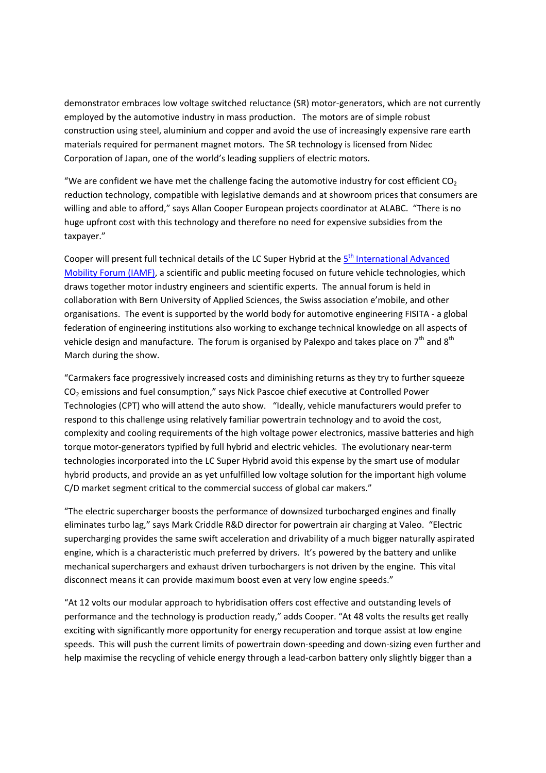demonstrator embraces low voltage switched reluctance (SR) motor‐generators, which are not currently employed by the automotive industry in mass production. The motors are of simple robust construction using steel, aluminium and copper and avoid the use of increasingly expensive rare earth materials required for permanent magnet motors. The SR technology is licensed from Nidec Corporation of Japan, one of the world's leading suppliers of electric motors.

"We are confident we have met the challenge facing the automotive industry for cost efficient  $CO<sub>2</sub>$ reduction technology, compatible with legislative demands and at showroom prices that consumers are willing and able to afford," says Allan Cooper European projects coordinator at ALABC. "There is no huge upfront cost with this technology and therefore no need for expensive subsidies from the taxpayer."

Cooper will present full technical details of the LC Super Hybrid at the 5<sup>th</sup> International Advanced Mobility Forum (IAMF), a scientific and public meeting focused on future vehicle technologies, which draws together motor industry engineers and scientific experts. The annual forum is held in collaboration with Bern University of Applied Sciences, the Swiss association e'mobile, and other organisations. The event is supported by the world body for automotive engineering FISITA ‐ a global federation of engineering institutions also working to exchange technical knowledge on all aspects of vehicle design and manufacture. The forum is organised by Palexpo and takes place on  $7<sup>th</sup>$  and  $8<sup>th</sup>$ March during the show.

"Carmakers face progressively increased costs and diminishing returns as they try to further squeeze CO2 emissions and fuel consumption," says Nick Pascoe chief executive at Controlled Power Technologies (CPT) who will attend the auto show. "Ideally, vehicle manufacturers would prefer to respond to this challenge using relatively familiar powertrain technology and to avoid the cost, complexity and cooling requirements of the high voltage power electronics, massive batteries and high torque motor‐generators typified by full hybrid and electric vehicles. The evolutionary near‐term technologies incorporated into the LC Super Hybrid avoid this expense by the smart use of modular hybrid products, and provide an as yet unfulfilled low voltage solution for the important high volume C/D market segment critical to the commercial success of global car makers."

"The electric supercharger boosts the performance of downsized turbocharged engines and finally eliminates turbo lag," says Mark Criddle R&D director for powertrain air charging at Valeo. "Electric supercharging provides the same swift acceleration and drivability of a much bigger naturally aspirated engine, which is a characteristic much preferred by drivers. It's powered by the battery and unlike mechanical superchargers and exhaust driven turbochargers is not driven by the engine. This vital disconnect means it can provide maximum boost even at very low engine speeds."

"At 12 volts our modular approach to hybridisation offers cost effective and outstanding levels of performance and the technology is production ready," adds Cooper. "At 48 volts the results get really exciting with significantly more opportunity for energy recuperation and torque assist at low engine speeds. This will push the current limits of powertrain down‐speeding and down‐sizing even further and help maximise the recycling of vehicle energy through a lead-carbon battery only slightly bigger than a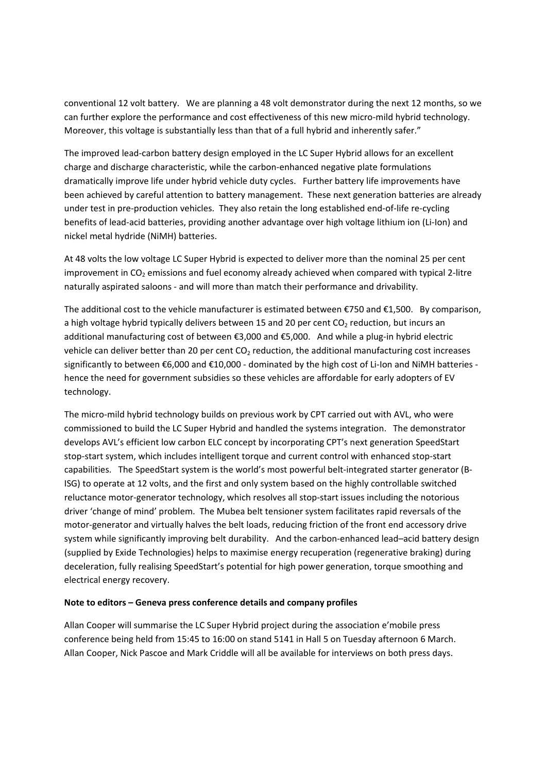conventional 12 volt battery. We are planning a 48 volt demonstrator during the next 12 months, so we can further explore the performance and cost effectiveness of this new micro-mild hybrid technology. Moreover, this voltage is substantially less than that of a full hybrid and inherently safer."

The improved lead-carbon battery design employed in the LC Super Hybrid allows for an excellent charge and discharge characteristic, while the carbon‐enhanced negative plate formulations dramatically improve life under hybrid vehicle duty cycles. Further battery life improvements have been achieved by careful attention to battery management. These next generation batteries are already under test in pre-production vehicles. They also retain the long established end-of-life re-cycling benefits of lead‐acid batteries, providing another advantage over high voltage lithium ion (Li‐Ion) and nickel metal hydride (NiMH) batteries.

At 48 volts the low voltage LC Super Hybrid is expected to deliver more than the nominal 25 per cent improvement in  $CO<sub>2</sub>$  emissions and fuel economy already achieved when compared with typical 2-litre naturally aspirated saloons ‐ and will more than match their performance and drivability.

The additional cost to the vehicle manufacturer is estimated between  $\epsilon$ 750 and  $\epsilon$ 1,500. By comparison, a high voltage hybrid typically delivers between 15 and 20 per cent  $CO<sub>2</sub>$  reduction, but incurs an additional manufacturing cost of between €3,000 and €5,000. And while a plug‐in hybrid electric vehicle can deliver better than 20 per cent  $CO<sub>2</sub>$  reduction, the additional manufacturing cost increases significantly to between €6,000 and €10,000 - dominated by the high cost of Li-Ion and NiMH batteries hence the need for government subsidies so these vehicles are affordable for early adopters of EV technology.

The micro-mild hybrid technology builds on previous work by CPT carried out with AVL, who were commissioned to build the LC Super Hybrid and handled the systems integration. The demonstrator develops AVL's efficient low carbon ELC concept by incorporating CPT's next generation SpeedStart stop-start system, which includes intelligent torque and current control with enhanced stop-start capabilities. The SpeedStart system is the world's most powerful belt-integrated starter generator (B-ISG) to operate at 12 volts, and the first and only system based on the highly controllable switched reluctance motor‐generator technology, which resolves all stop‐start issues including the notorious driver 'change of mind' problem. The Mubea belt tensioner system facilitates rapid reversals of the motor‐generator and virtually halves the belt loads, reducing friction of the front end accessory drive system while significantly improving belt durability. And the carbon-enhanced lead-acid battery design (supplied by Exide Technologies) helps to maximise energy recuperation (regenerative braking) during deceleration, fully realising SpeedStart's potential for high power generation, torque smoothing and electrical energy recovery.

## **Note to editors – Geneva press conference details and company profiles**

Allan Cooper will summarise the LC Super Hybrid project during the association e'mobile press conference being held from 15:45 to 16:00 on stand 5141 in Hall 5 on Tuesday afternoon 6 March. Allan Cooper, Nick Pascoe and Mark Criddle will all be available for interviews on both press days.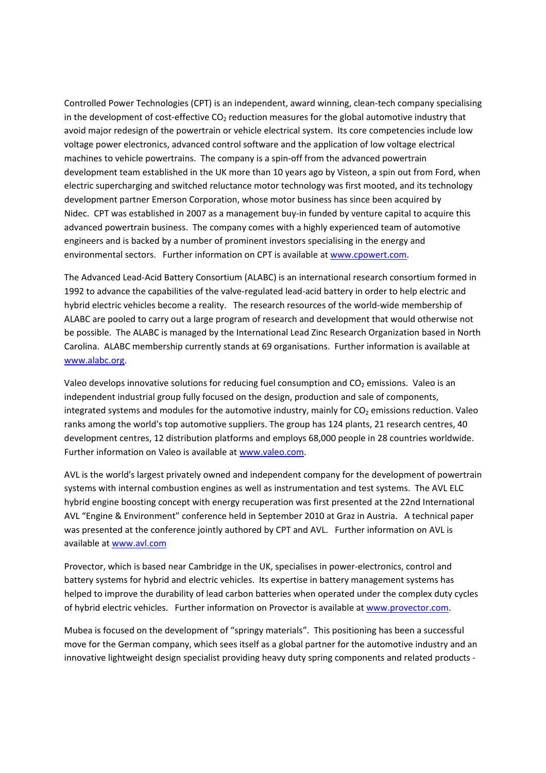Controlled Power Technologies (CPT) is an independent, award winning, clean‐tech company specialising in the development of cost-effective  $CO<sub>2</sub>$  reduction measures for the global automotive industry that avoid major redesign of the powertrain or vehicle electrical system. Its core competencies include low voltage power electronics, advanced control software and the application of low voltage electrical machines to vehicle powertrains. The company is a spin‐off from the advanced powertrain development team established in the UK more than 10 years ago by Visteon, a spin out from Ford, when electric supercharging and switched reluctance motor technology was first mooted, and its technology development partner Emerson Corporation, whose motor business has since been acquired by Nidec. CPT was established in 2007 as a management buy‐in funded by venture capital to acquire this advanced powertrain business. The company comes with a highly experienced team of automotive engineers and is backed by a number of prominent investors specialising in the energy and environmental sectors. Further information on CPT is available at www.cpowert.com.

The Advanced Lead‐Acid Battery Consortium (ALABC) is an international research consortium formed in 1992 to advance the capabilities of the valve-regulated lead-acid battery in order to help electric and hybrid electric vehicles become a reality. The research resources of the world‐wide membership of ALABC are pooled to carry out a large program of research and development that would otherwise not be possible. The ALABC is managed by the International Lead Zinc Research Organization based in North Carolina. ALABC membership currently stands at 69 organisations. Further information is available at www.alabc.org.

Valeo develops innovative solutions for reducing fuel consumption and  $CO<sub>2</sub>$  emissions. Valeo is an independent industrial group fully focused on the design, production and sale of components, integrated systems and modules for the automotive industry, mainly for  $CO<sub>2</sub>$  emissions reduction. Valeo ranks among the world's top automotive suppliers. The group has 124 plants, 21 research centres, 40 development centres, 12 distribution platforms and employs 68,000 people in 28 countries worldwide. Further information on Valeo is available at www.valeo.com.

AVL is the world's largest privately owned and independent company for the development of powertrain systems with internal combustion engines as well as instrumentation and test systems. The AVL ELC hybrid engine boosting concept with energy recuperation was first presented at the 22nd International AVL "Engine & Environment" conference held in September 2010 at Graz in Austria. A technical paper was presented at the conference jointly authored by CPT and AVL. Further information on AVL is available at www.avl.com

Provector, which is based near Cambridge in the UK, specialises in power‐electronics, control and battery systems for hybrid and electric vehicles. Its expertise in battery management systems has helped to improve the durability of lead carbon batteries when operated under the complex duty cycles of hybrid electric vehicles. Further information on Provector is available at www.provector.com.

Mubea is focused on the development of "springy materials". This positioning has been a successful move for the German company, which sees itself as a global partner for the automotive industry and an innovative lightweight design specialist providing heavy duty spring components and related products ‐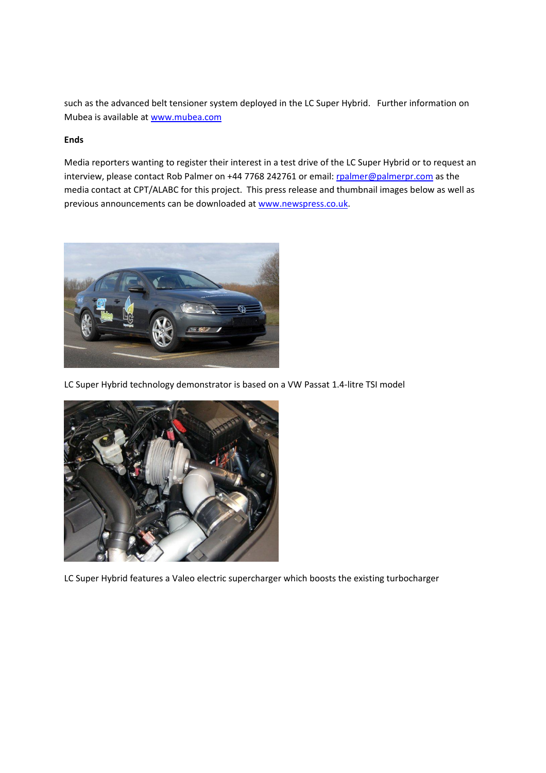such as the advanced belt tensioner system deployed in the LC Super Hybrid. Further information on Mubea is available at www.mubea.com

## **Ends**

Media reporters wanting to register their interest in a test drive of the LC Super Hybrid or to request an interview, please contact Rob Palmer on +44 7768 242761 or email: roalmer@palmerpr.com as the media contact at CPT/ALABC for this project. This press release and thumbnail images below as well as previous announcements can be downloaded at www.newspress.co.uk.



LC Super Hybrid technology demonstrator is based on a VW Passat 1.4‐litre TSI model



LC Super Hybrid features a Valeo electric supercharger which boosts the existing turbocharger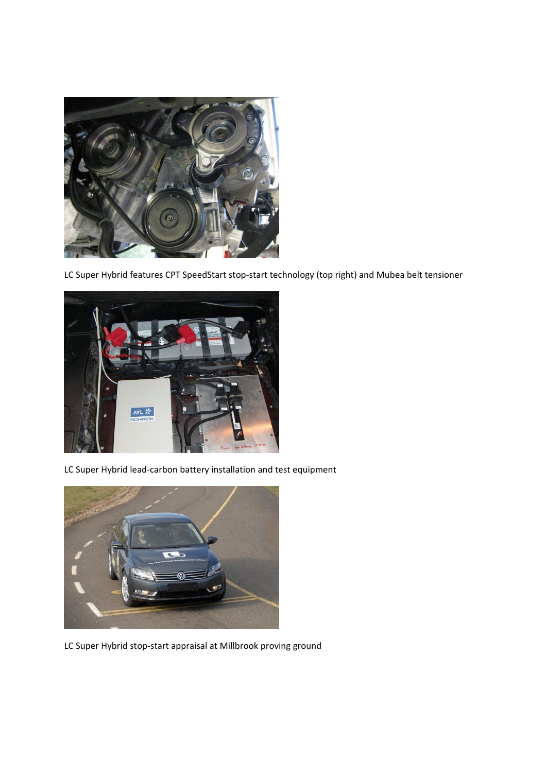

LC Super Hybrid features CPT SpeedStart stop-start technology (top right) and Mubea belt tensioner



LC Super Hybrid lead‐carbon battery installation and test equipment



LC Super Hybrid stop‐start appraisal at Millbrook proving ground